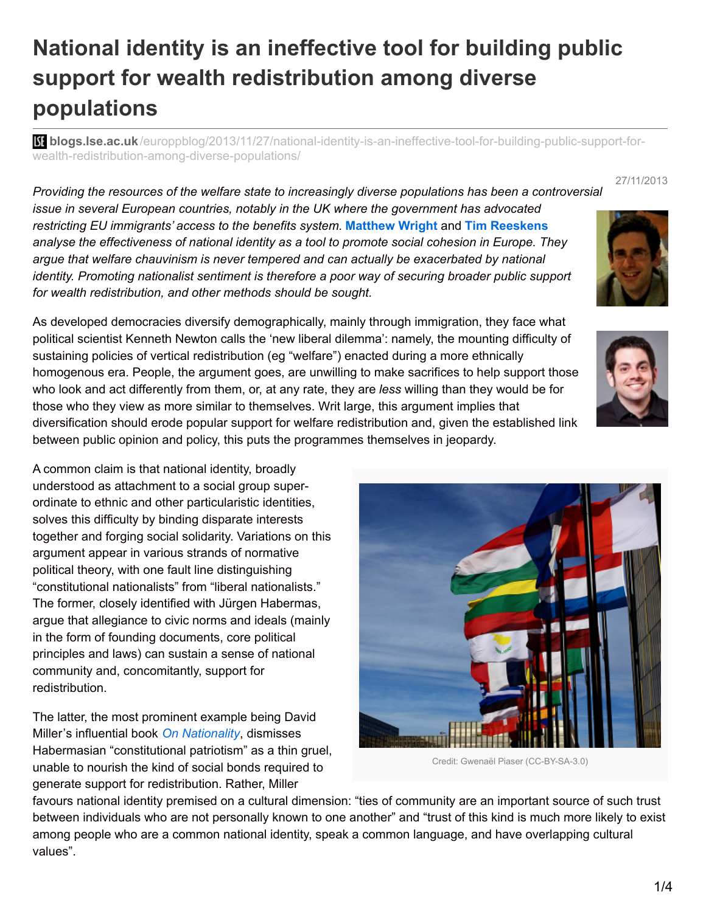# **National identity is an ineffective tool for building public support for wealth redistribution among diverse populations**

**bli blogs.lse.ac.uk**[/europpblog/2013/11/27/national-identity-is-an-ineffective-tool-for-building-public-support-for](http://blogs.lse.ac.uk/europpblog/2013/11/27/national-identity-is-an-ineffective-tool-for-building-public-support-for-wealth-redistribution-among-diverse-populations/#Author)wealth-redistribution-among-diverse-populations/

27/11/2013

*Providing the resources of the welfare state to increasingly diverse populations has been a controversial issue in several European countries, notably in the UK where the government has advocated restricting EU immigrants' access to the benefits system.* **[Matthew](http://wp.me/p2MmSR-5Fv#Author) Wright** and **Tim [Reeskens](http://wp.me/p2MmSR-5Fv#Author)** *analyse the effectiveness of national identity as a tool to promote social cohesion in Europe. They argue that welfare chauvinism is never tempered and can actually be exacerbated by national identity. Promoting nationalist sentiment is therefore a poor way of securing broader public support for wealth redistribution, and other methods should be sought.*

As developed democracies diversify demographically, mainly through immigration, they face what political scientist Kenneth Newton calls the 'new liberal dilemma': namely, the mounting difficulty of sustaining policies of vertical redistribution (eg "welfare") enacted during a more ethnically homogenous era. People, the argument goes, are unwilling to make sacrifices to help support those who look and act differently from them, or, at any rate, they are *less* willing than they would be for those who they view as more similar to themselves. Writ large, this argument implies that diversification should erode popular support for welfare redistribution and, given the established link between public opinion and policy, this puts the programmes themselves in jeopardy.

A common claim is that national identity, broadly understood as attachment to a social group superordinate to ethnic and other particularistic identities, solves this difficulty by binding disparate interests together and forging social solidarity. Variations on this argument appear in various strands of normative political theory, with one fault line distinguishing "constitutional nationalists" from "liberal nationalists." The former, closely identified with Jürgen Habermas, argue that allegiance to civic norms and ideals (mainly in the form of founding documents, core political principles and laws) can sustain a sense of national community and, concomitantly, support for redistribution.

The latter, the most prominent example being David Miller's influential book *On [Nationality](http://www.oxfordscholarship.com/view/10.1093/0198293569.001.0001/acprof-9780198293569)*, dismisses Habermasian "constitutional patriotism" as a thin gruel, unable to nourish the kind of social bonds required to generate support for redistribution. Rather, Miller

values".

Credit: Gwenaël Piaser (CC-BY-SA-3.0) favours national identity premised on a cultural dimension: "ties of community are an important source of such trust between individuals who are not personally known to one another" and "trust of this kind is much more likely to exist among people who are a common national identity, speak a common language, and have overlapping cultural

1/4



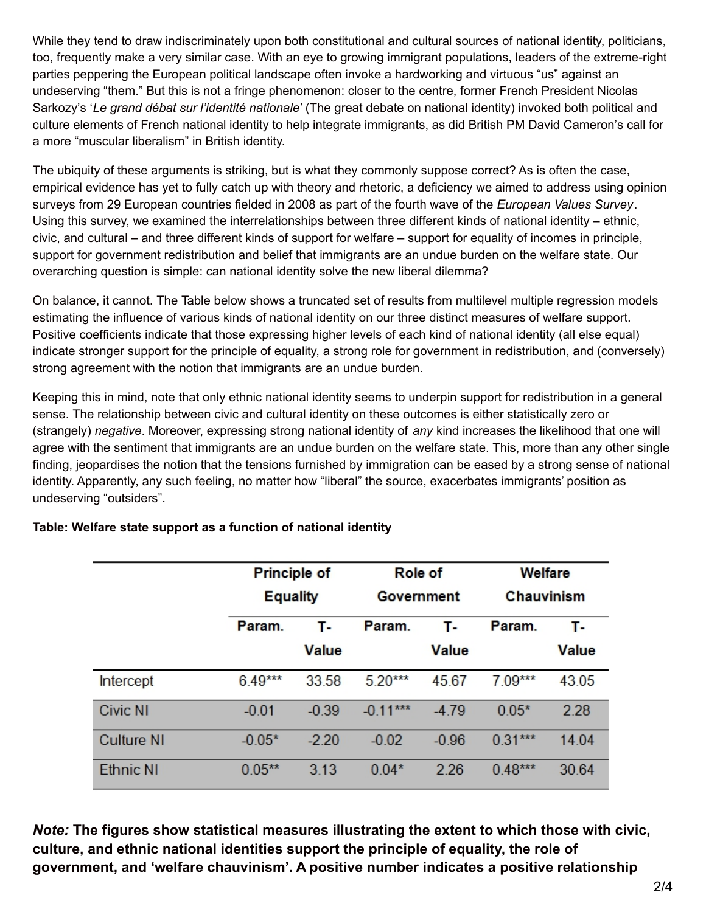While they tend to draw indiscriminately upon both constitutional and cultural sources of national identity, politicians, too, frequently make a very similar case. With an eye to growing immigrant populations, leaders of the extreme-right parties peppering the European political landscape often invoke a hardworking and virtuous "us" against an undeserving "them." But this is not a fringe phenomenon: closer to the centre, former French President Nicolas Sarkozy's '*Le grand débat sur l'identité nationale*' (The great debate on national identity) invoked both political and culture elements of French national identity to help integrate immigrants, as did British PM David Cameron's call for a more "muscular liberalism" in British identity.

The ubiquity of these arguments is striking, but is what they commonly suppose correct? As is often the case, empirical evidence has yet to fully catch up with theory and rhetoric, a deficiency we aimed to address using opinion surveys from 29 European countries fielded in 2008 as part of the fourth wave of the *European Values Survey*. Using this survey, we examined the interrelationships between three different kinds of national identity – ethnic, civic, and cultural – and three different kinds of support for welfare – support for equality of incomes in principle, support for government redistribution and belief that immigrants are an undue burden on the welfare state. Our overarching question is simple: can national identity solve the new liberal dilemma?

On balance, it cannot. The Table below shows a truncated set of results from multilevel multiple regression models estimating the influence of various kinds of national identity on our three distinct measures of welfare support. Positive coefficients indicate that those expressing higher levels of each kind of national identity (all else equal) indicate stronger support for the principle of equality, a strong role for government in redistribution, and (conversely) strong agreement with the notion that immigrants are an undue burden.

Keeping this in mind, note that only ethnic national identity seems to underpin support for redistribution in a general sense. The relationship between civic and cultural identity on these outcomes is either statistically zero or (strangely) *negative*. Moreover, expressing strong national identity of *any* kind increases the likelihood that one will agree with the sentiment that immigrants are an undue burden on the welfare state. This, more than any other single finding, jeopardises the notion that the tensions furnished by immigration can be eased by a strong sense of national identity. Apparently, any such feeling, no matter how "liberal" the source, exacerbates immigrants' position as undeserving "outsiders".

|                   | <b>Principle of</b><br><b>Equality</b> |              | Role of<br>Government |              | Welfare<br>Chauvinism |              |
|-------------------|----------------------------------------|--------------|-----------------------|--------------|-----------------------|--------------|
|                   |                                        |              |                       |              |                       |              |
|                   | Param.                                 | т.           | Param.                | т.           | Param.                | т.,          |
|                   |                                        | <b>Value</b> |                       | <b>Value</b> |                       | <b>Value</b> |
| Intercept         | $6.49***$                              | 33.58        | $5.20***$             | 45.67        | $7.09***$             | 43.05        |
| <b>Civic NI</b>   | $-0.01$                                | $-0.39$      | $-0.11***$            | $-4.79$      | $0.05*$               | 2.28         |
| <b>Culture NI</b> | $-0.05*$                               | $-2.20$      | $-0.02$               | $-0.96$      | $0.31***$             | 14.04        |
| <b>Ethnic NI</b>  | $0.05***$                              | 3.13         | $0.04*$               | 2.26         | $0.48***$             | 30.64        |

## **Table: Welfare state support as a function of national identity**

*Note:* **The figures show statistical measures illustrating the extent to which those with civic, culture, and ethnic national identities support the principle of equality, the role of government, and 'welfare chauvinism'. A positive number indicates a positive relationship**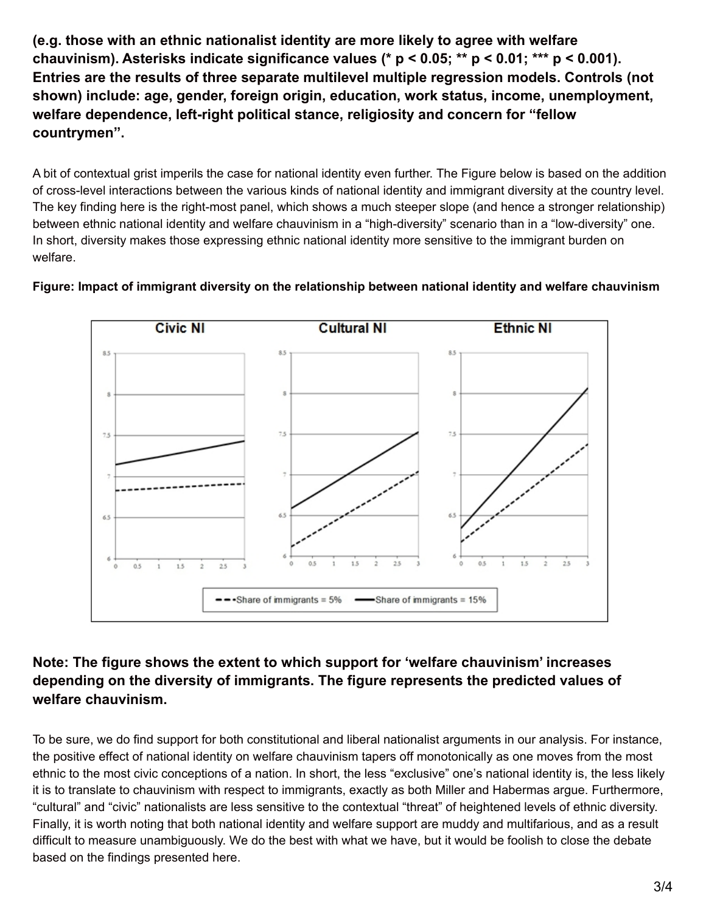**(e.g. those with an ethnic nationalist identity are more likely to agree with welfare chauvinism). Asterisks indicate significance values (\* p < 0.05; \*\* p < 0.01; \*\*\* p < 0.001). Entries are the results of three separate multilevel multiple regression models. Controls (not shown) include: age, gender, foreign origin, education, work status, income, unemployment, welfare dependence, left-right political stance, religiosity and concern for "fellow countrymen".**

A bit of contextual grist imperils the case for national identity even further. The Figure below is based on the addition of cross-level interactions between the various kinds of national identity and immigrant diversity at the country level. The key finding here is the right-most panel, which shows a much steeper slope (and hence a stronger relationship) between ethnic national identity and welfare chauvinism in a "high-diversity" scenario than in a "low-diversity" one. In short, diversity makes those expressing ethnic national identity more sensitive to the immigrant burden on welfare.



**Figure: Impact of immigrant diversity on the relationship between national identity and welfare chauvinism**

# **Note: The figure shows the extent to which support for 'welfare chauvinism' increases depending on the diversity of immigrants. The figure represents the predicted values of welfare chauvinism.**

To be sure, we do find support for both constitutional and liberal nationalist arguments in our analysis. For instance, the positive effect of national identity on welfare chauvinism tapers off monotonically as one moves from the most ethnic to the most civic conceptions of a nation. In short, the less "exclusive" one's national identity is, the less likely it is to translate to chauvinism with respect to immigrants, exactly as both Miller and Habermas argue. Furthermore, "cultural" and "civic" nationalists are less sensitive to the contextual "threat" of heightened levels of ethnic diversity. Finally, it is worth noting that both national identity and welfare support are muddy and multifarious, and as a result difficult to measure unambiguously. We do the best with what we have, but it would be foolish to close the debate based on the findings presented here.